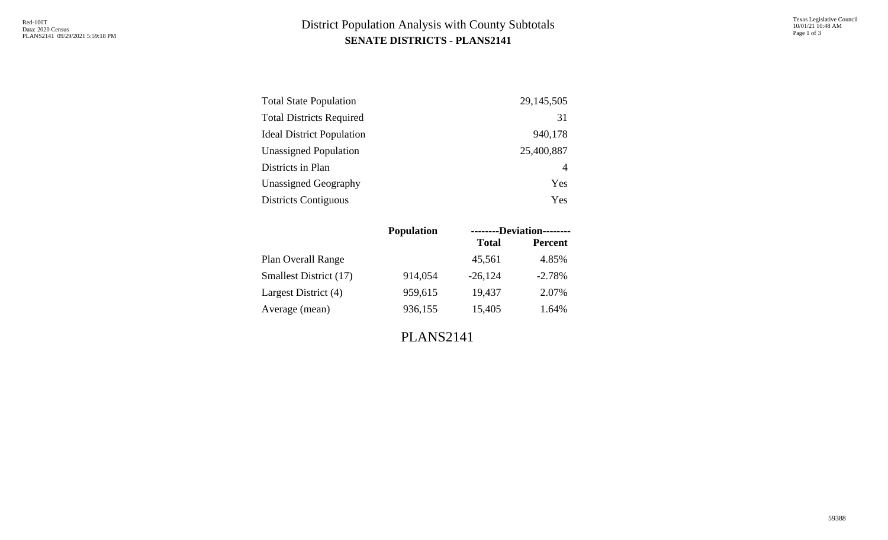## **SENATE DISTRICTS - PLANS2141** District Population Analysis with County Subtotals

| <b>Total State Population</b>    | 29, 145, 505 |
|----------------------------------|--------------|
| <b>Total Districts Required</b>  | 31           |
| <b>Ideal District Population</b> | 940,178      |
| <b>Unassigned Population</b>     | 25,400,887   |
| Districts in Plan                | 4            |
| <b>Unassigned Geography</b>      | Yes          |
| <b>Districts Contiguous</b>      | Yes          |

|                               | <b>Population</b> | --------Deviation-------- |                |  |  |
|-------------------------------|-------------------|---------------------------|----------------|--|--|
|                               |                   | <b>Total</b>              | <b>Percent</b> |  |  |
| Plan Overall Range            |                   | 45,561                    | 4.85%          |  |  |
| <b>Smallest District (17)</b> | 914,054           | $-26,124$                 | $-2.78%$       |  |  |
| Largest District (4)          | 959,615           | 19,437                    | 2.07%          |  |  |
| Average (mean)                | 936,155           | 15,405                    | 1.64%          |  |  |
|                               |                   |                           |                |  |  |

PLANS2141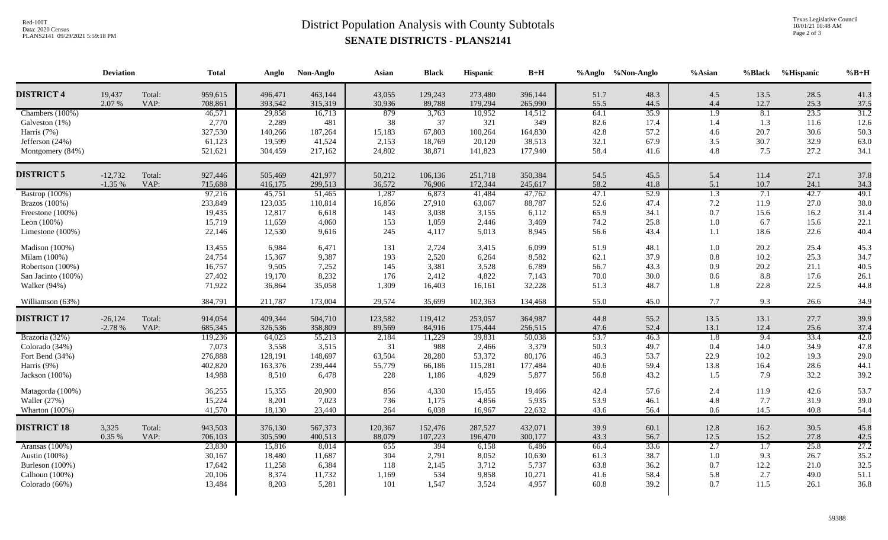## **SENATE DISTRICTS - PLANS2141** District Population Analysis with County Subtotals

Texas Legislative Council 10/01/21 10:48 AM Page 2 of 3

| <b>DISTRICT 4</b><br>19,437<br>959,615<br>463,144<br>Total:<br>496,471<br>43,055<br>129,243<br>273,480<br>396,144<br>51.7<br>48.3<br>4.5<br>13.5<br>28.5<br>55.5<br>2.07 %<br>708,861<br>30,936<br>265,990<br>44.5<br>4.4<br>12.7<br>25.3<br>VAP:<br>393,542<br>315,319<br>89,788<br>179,294<br>35.9<br>$\overline{1.9}$<br>8.1<br>23.5<br>Chambers (100%)<br>46,571<br>29,858<br>879<br>10,952<br>64.1<br>16,713<br>3,763<br>14,512<br>2,770<br>2,289<br>481<br>38<br>37<br>321<br>349<br>82.6<br>17.4<br>1.4<br>1.3<br>11.6<br>Galveston (1%)<br>327,530<br>42.8<br>30.6<br>Harris (7%)<br>187,264<br>15,183<br>67,803<br>100,264<br>164,830<br>57.2<br>4.6<br>20.7<br>140,266<br>32.9<br>61,123<br>41,524<br>2,153<br>38,513<br>32.1<br>67.9<br>3.5<br>30.7<br>Jefferson (24%)<br>19,599<br>18,769<br>20,120<br>521,621<br>24,802<br>141,823<br>58.4<br>4.8<br>7.5<br>27.2<br>Montgomery (84%)<br>304,459<br>217,162<br>38,871<br>177,940<br>41.6<br><b>DISTRICT 5</b><br>$-12,732$<br>Total:<br>927,446<br>505,469<br>421,977<br>50,212<br>106,136<br>251,718<br>350,384<br>54.5<br>45.5<br>5.4<br>11.4<br>27.1<br>$-1.35%$<br>36,572<br>58.2<br>VAP:<br>715,688<br>416,175<br>299,513<br>76,906<br>172,344<br>245,617<br>41.8<br>5.1<br>10.7<br>24.1<br>47.1<br>42.7<br>Bastrop (100%)<br>1,287<br>41,484<br>52.9<br>$\overline{1.3}$<br>7.1<br>97,216<br>45,751<br>51,465<br>6,873<br>47,762<br>233,849<br>88,787<br>52.6<br>47.4<br>7.2<br>11.9<br>27.0<br>Brazos (100%)<br>123,035<br>110,814<br>16,856<br>27,910<br>63,067<br>19,435<br>12,817<br>6,618<br>143<br>3,155<br>6,112<br>65.9<br>34.1<br>0.7<br>15.6<br>16.2<br>Freestone (100%)<br>3,038 | $%B+H$       |
|---------------------------------------------------------------------------------------------------------------------------------------------------------------------------------------------------------------------------------------------------------------------------------------------------------------------------------------------------------------------------------------------------------------------------------------------------------------------------------------------------------------------------------------------------------------------------------------------------------------------------------------------------------------------------------------------------------------------------------------------------------------------------------------------------------------------------------------------------------------------------------------------------------------------------------------------------------------------------------------------------------------------------------------------------------------------------------------------------------------------------------------------------------------------------------------------------------------------------------------------------------------------------------------------------------------------------------------------------------------------------------------------------------------------------------------------------------------------------------------------------------------------------------------------------------------------------------------------------------------------------------------------------------------|--------------|
|                                                                                                                                                                                                                                                                                                                                                                                                                                                                                                                                                                                                                                                                                                                                                                                                                                                                                                                                                                                                                                                                                                                                                                                                                                                                                                                                                                                                                                                                                                                                                                                                                                                               | 41.3         |
|                                                                                                                                                                                                                                                                                                                                                                                                                                                                                                                                                                                                                                                                                                                                                                                                                                                                                                                                                                                                                                                                                                                                                                                                                                                                                                                                                                                                                                                                                                                                                                                                                                                               | 37.5         |
|                                                                                                                                                                                                                                                                                                                                                                                                                                                                                                                                                                                                                                                                                                                                                                                                                                                                                                                                                                                                                                                                                                                                                                                                                                                                                                                                                                                                                                                                                                                                                                                                                                                               | 31.2<br>12.6 |
|                                                                                                                                                                                                                                                                                                                                                                                                                                                                                                                                                                                                                                                                                                                                                                                                                                                                                                                                                                                                                                                                                                                                                                                                                                                                                                                                                                                                                                                                                                                                                                                                                                                               | 50.3         |
|                                                                                                                                                                                                                                                                                                                                                                                                                                                                                                                                                                                                                                                                                                                                                                                                                                                                                                                                                                                                                                                                                                                                                                                                                                                                                                                                                                                                                                                                                                                                                                                                                                                               | 63.0         |
|                                                                                                                                                                                                                                                                                                                                                                                                                                                                                                                                                                                                                                                                                                                                                                                                                                                                                                                                                                                                                                                                                                                                                                                                                                                                                                                                                                                                                                                                                                                                                                                                                                                               | 34.1         |
|                                                                                                                                                                                                                                                                                                                                                                                                                                                                                                                                                                                                                                                                                                                                                                                                                                                                                                                                                                                                                                                                                                                                                                                                                                                                                                                                                                                                                                                                                                                                                                                                                                                               | 37.8         |
|                                                                                                                                                                                                                                                                                                                                                                                                                                                                                                                                                                                                                                                                                                                                                                                                                                                                                                                                                                                                                                                                                                                                                                                                                                                                                                                                                                                                                                                                                                                                                                                                                                                               | 34.3         |
|                                                                                                                                                                                                                                                                                                                                                                                                                                                                                                                                                                                                                                                                                                                                                                                                                                                                                                                                                                                                                                                                                                                                                                                                                                                                                                                                                                                                                                                                                                                                                                                                                                                               | 49.1         |
|                                                                                                                                                                                                                                                                                                                                                                                                                                                                                                                                                                                                                                                                                                                                                                                                                                                                                                                                                                                                                                                                                                                                                                                                                                                                                                                                                                                                                                                                                                                                                                                                                                                               | 38.0         |
|                                                                                                                                                                                                                                                                                                                                                                                                                                                                                                                                                                                                                                                                                                                                                                                                                                                                                                                                                                                                                                                                                                                                                                                                                                                                                                                                                                                                                                                                                                                                                                                                                                                               | 31.4         |
| 15,719<br>4,060<br>153<br>25.8<br>6.7<br>15.6<br>Leon $(100\%)$<br>11,659<br>1,059<br>2,446<br>3,469<br>74.2<br>1.0                                                                                                                                                                                                                                                                                                                                                                                                                                                                                                                                                                                                                                                                                                                                                                                                                                                                                                                                                                                                                                                                                                                                                                                                                                                                                                                                                                                                                                                                                                                                           | 22.1         |
| 22.6<br>22,146<br>12,530<br>9,616<br>4,117<br>5,013<br>8,945<br>56.6<br>43.4<br>1.1<br>18.6<br>Limestone $(100\%)$<br>245                                                                                                                                                                                                                                                                                                                                                                                                                                                                                                                                                                                                                                                                                                                                                                                                                                                                                                                                                                                                                                                                                                                                                                                                                                                                                                                                                                                                                                                                                                                                     | 40.4         |
| 6,099<br>Madison (100%)<br>13,455<br>6,984<br>6,471<br>2,724<br>3,415<br>51.9<br>48.1<br>20.2<br>25.4<br>131<br>1.0                                                                                                                                                                                                                                                                                                                                                                                                                                                                                                                                                                                                                                                                                                                                                                                                                                                                                                                                                                                                                                                                                                                                                                                                                                                                                                                                                                                                                                                                                                                                           | 45.3         |
| 24,754<br>9,387<br>6,264<br>8,582<br>62.1<br>37.9<br>25.3<br>Milam (100%)<br>15,367<br>193<br>2,520<br>0.8<br>10.2                                                                                                                                                                                                                                                                                                                                                                                                                                                                                                                                                                                                                                                                                                                                                                                                                                                                                                                                                                                                                                                                                                                                                                                                                                                                                                                                                                                                                                                                                                                                            | 34.7         |
| 16,757<br>7,252<br>3,528<br>6,789<br>56.7<br>20.2<br>21.1<br>Robertson (100%)<br>9,505<br>145<br>3,381<br>43.3<br>0.9                                                                                                                                                                                                                                                                                                                                                                                                                                                                                                                                                                                                                                                                                                                                                                                                                                                                                                                                                                                                                                                                                                                                                                                                                                                                                                                                                                                                                                                                                                                                         | 40.5         |
| 27,402<br>8,232<br>4,822<br>70.0<br>30.0<br>8.8<br>17.6<br>San Jacinto (100%)<br>19,170<br>176<br>2,412<br>7,143<br>0.6                                                                                                                                                                                                                                                                                                                                                                                                                                                                                                                                                                                                                                                                                                                                                                                                                                                                                                                                                                                                                                                                                                                                                                                                                                                                                                                                                                                                                                                                                                                                       | 26.1         |
| 71,922<br>51.3<br>22.8<br>22.5<br>Walker (94%)<br>35,058<br>1,309<br>16,161<br>32,228<br>48.7<br>1.8<br>36,864<br>16,403                                                                                                                                                                                                                                                                                                                                                                                                                                                                                                                                                                                                                                                                                                                                                                                                                                                                                                                                                                                                                                                                                                                                                                                                                                                                                                                                                                                                                                                                                                                                      | 44.8         |
| 384,791<br>29,574<br>55.0<br>9.3<br>26.6<br>Williamson (63%)<br>211,787<br>173,004<br>35,699<br>102,363<br>134,468<br>45.0<br>7.7                                                                                                                                                                                                                                                                                                                                                                                                                                                                                                                                                                                                                                                                                                                                                                                                                                                                                                                                                                                                                                                                                                                                                                                                                                                                                                                                                                                                                                                                                                                             | 34.9         |
| <b>DISTRICT 17</b><br>$-26,124$<br>Total:<br>914,054<br>409,344<br>123,582<br>364,987<br>44.8<br>55.2<br>13.5<br>13.1<br>27.7<br>504,710<br>119,412<br>253,057                                                                                                                                                                                                                                                                                                                                                                                                                                                                                                                                                                                                                                                                                                                                                                                                                                                                                                                                                                                                                                                                                                                                                                                                                                                                                                                                                                                                                                                                                                | 39.9         |
| VAP:<br>685,345<br>89,569<br>256,515<br>13.1<br>25.6<br>$-2.78%$<br>326,536<br>358,809<br>84,916<br>175,444<br>47.6<br>52.4<br>12.4                                                                                                                                                                                                                                                                                                                                                                                                                                                                                                                                                                                                                                                                                                                                                                                                                                                                                                                                                                                                                                                                                                                                                                                                                                                                                                                                                                                                                                                                                                                           | 37.4         |
| 53.7<br>33.4<br>Brazoria (32%)<br>119,236<br>55,213<br>2,184<br>11,229<br>39,831<br>46.3<br>$\overline{1.8}$<br>9.4<br>64,023<br>50,038                                                                                                                                                                                                                                                                                                                                                                                                                                                                                                                                                                                                                                                                                                                                                                                                                                                                                                                                                                                                                                                                                                                                                                                                                                                                                                                                                                                                                                                                                                                       | 42.0         |
| 7,073<br>3,379<br>34.9<br>Colorado (34%)<br>3,558<br>3,515<br>31<br>988<br>2,466<br>50.3<br>49.7<br>0.4<br>14.0                                                                                                                                                                                                                                                                                                                                                                                                                                                                                                                                                                                                                                                                                                                                                                                                                                                                                                                                                                                                                                                                                                                                                                                                                                                                                                                                                                                                                                                                                                                                               | 47.8         |
| 276,888<br>148,697<br>53,372<br>80,176<br>53.7<br>22.9<br>10.2<br>19.3<br>Fort Bend (34%)<br>128,191<br>63,504<br>28,280<br>46.3                                                                                                                                                                                                                                                                                                                                                                                                                                                                                                                                                                                                                                                                                                                                                                                                                                                                                                                                                                                                                                                                                                                                                                                                                                                                                                                                                                                                                                                                                                                              | 29.0         |
| 402,820<br>40.6<br>59.4<br>28.6<br>Harris (9%)<br>163,376<br>239,444<br>55,779<br>66,186<br>115,281<br>177,484<br>13.8<br>16.4                                                                                                                                                                                                                                                                                                                                                                                                                                                                                                                                                                                                                                                                                                                                                                                                                                                                                                                                                                                                                                                                                                                                                                                                                                                                                                                                                                                                                                                                                                                                | 44.1         |
| 14,988<br>4,829<br>5,877<br>56.8<br>1.5<br>7.9<br>32.2<br>Jackson (100%)<br>8,510<br>6,478<br>228<br>43.2<br>1,186                                                                                                                                                                                                                                                                                                                                                                                                                                                                                                                                                                                                                                                                                                                                                                                                                                                                                                                                                                                                                                                                                                                                                                                                                                                                                                                                                                                                                                                                                                                                            | 39.2         |
| 57.6<br>42.6<br>36,255<br>15,355<br>20,900<br>856<br>4,330<br>15,455<br>19,466<br>42.4<br>2.4<br>11.9<br>Matagorda (100%)                                                                                                                                                                                                                                                                                                                                                                                                                                                                                                                                                                                                                                                                                                                                                                                                                                                                                                                                                                                                                                                                                                                                                                                                                                                                                                                                                                                                                                                                                                                                     | 53.7         |
| 15,224<br>Waller (27%)<br>8,201<br>7,023<br>1,175<br>4,856<br>5,935<br>53.9<br>4.8<br>7.7<br>31.9<br>736<br>46.1                                                                                                                                                                                                                                                                                                                                                                                                                                                                                                                                                                                                                                                                                                                                                                                                                                                                                                                                                                                                                                                                                                                                                                                                                                                                                                                                                                                                                                                                                                                                              | 39.0         |
| 14.5<br>41,570<br>18,130<br>23,440<br>6,038<br>22,632<br>43.6<br>0.6<br>40.8<br>Wharton (100%)<br>264<br>16,967<br>56.4                                                                                                                                                                                                                                                                                                                                                                                                                                                                                                                                                                                                                                                                                                                                                                                                                                                                                                                                                                                                                                                                                                                                                                                                                                                                                                                                                                                                                                                                                                                                       | 54.4         |
| <b>DISTRICT 18</b><br>3,325<br>Total:<br>943,503<br>376,130<br>120,367<br>152,476<br>432,071<br>39.9<br>60.1<br>12.8<br>16.2<br>30.5<br>567,373<br>287,527<br>0.35 %<br>VAP:<br>706,103<br>305,590<br>400,513<br>88,079<br>107,223<br>196,470<br>300,177<br>43.3<br>56.7<br>12.5<br>15.2<br>27.8                                                                                                                                                                                                                                                                                                                                                                                                                                                                                                                                                                                                                                                                                                                                                                                                                                                                                                                                                                                                                                                                                                                                                                                                                                                                                                                                                              | 45.8<br>42.5 |
| 33.6<br>2.7<br>25.8<br>Aransas (100%)<br>23,830<br>8,014<br>655<br>394<br>6,158<br>6,486<br>66.4<br>1.7<br>15,816                                                                                                                                                                                                                                                                                                                                                                                                                                                                                                                                                                                                                                                                                                                                                                                                                                                                                                                                                                                                                                                                                                                                                                                                                                                                                                                                                                                                                                                                                                                                             | 27.2         |
| 9.3<br>Austin (100%)<br>30,167<br>18,480<br>11,687<br>304<br>2,791<br>8,052<br>10,630<br>61.3<br>38.7<br>1.0<br>26.7                                                                                                                                                                                                                                                                                                                                                                                                                                                                                                                                                                                                                                                                                                                                                                                                                                                                                                                                                                                                                                                                                                                                                                                                                                                                                                                                                                                                                                                                                                                                          | 35.2         |
| 17,642<br>6,384<br>3,712<br>5,737<br>63.8<br>36.2<br>0.7<br>12.2<br>21.0<br>Burleson (100%)<br>11,258<br>118<br>2,145                                                                                                                                                                                                                                                                                                                                                                                                                                                                                                                                                                                                                                                                                                                                                                                                                                                                                                                                                                                                                                                                                                                                                                                                                                                                                                                                                                                                                                                                                                                                         | 32.5         |
| 2.7<br>20,106<br>11,732<br>534<br>9,858<br>41.6<br>58.4<br>5.8<br>49.0<br>Calhoun (100%)<br>8,374<br>1,169<br>10,271                                                                                                                                                                                                                                                                                                                                                                                                                                                                                                                                                                                                                                                                                                                                                                                                                                                                                                                                                                                                                                                                                                                                                                                                                                                                                                                                                                                                                                                                                                                                          | 51.1         |
| 3,524<br>4,957<br>39.2<br>13,484<br>8,203<br>5,281<br>1,547<br>60.8<br>0.7<br>11.5<br>26.1<br>Colorado (66%)<br>101                                                                                                                                                                                                                                                                                                                                                                                                                                                                                                                                                                                                                                                                                                                                                                                                                                                                                                                                                                                                                                                                                                                                                                                                                                                                                                                                                                                                                                                                                                                                           | 36.8         |